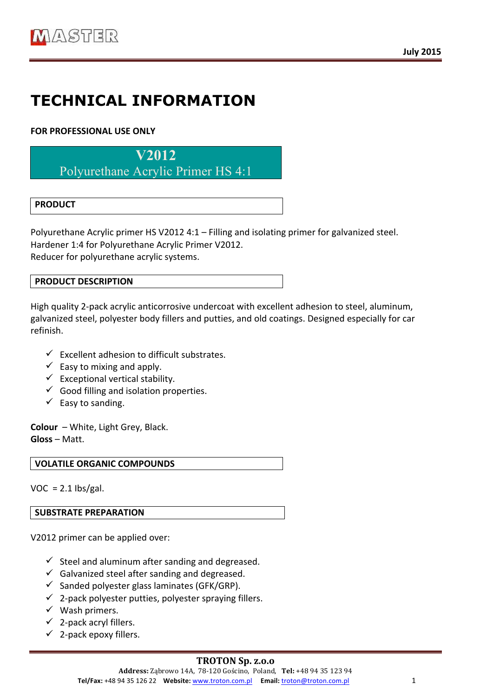# **TECHNICAL INFORMATION**

## **FOR PROFESSIONAL USE ONLY**

**V2012**

Polyurethane Acrylic Primer HS 4:1

## **PRODUCT**

Polyurethane Acrylic primer HS V2012 4:1 – Filling and isolating primer for galvanized steel. Hardener 1:4 for Polyurethane Acrylic Primer V2012. Reducer for polyurethane acrylic systems.

#### **PRODUCT DESCRIPTION**

High quality 2-pack acrylic anticorrosive undercoat with excellent adhesion to steel, aluminum, galvanized steel, polyester body fillers and putties, and old coatings. Designed especially for car refinish. 

- $\checkmark$  Excellent adhesion to difficult substrates.
- $\checkmark$  Easy to mixing and apply.
- $\checkmark$  Exceptional vertical stability.
- $\checkmark$  Good filling and isolation properties.
- $\checkmark$  Easy to sanding.

**Colour** – White, Light Grey, Black. **Gloss** – Matt. 

**VOLATILE ORGANIC COMPOUNDS** 

 $VOC = 2.1$  lbs/gal.

#### **SUBSTRATE PREPARATION**

V2012 primer can be applied over:

- $\checkmark$  Steel and aluminum after sanding and degreased.
- $\checkmark$  Galvanized steel after sanding and degreased.
- $\checkmark$  Sanded polyester glass laminates (GFK/GRP).
- $\checkmark$  2-pack polyester putties, polyester spraying fillers.
- $\checkmark$  Wash primers.
- $\checkmark$  2-pack acryl fillers.
- $\checkmark$  2-pack epoxy fillers.

#### **TROTON Sp. z.o.o**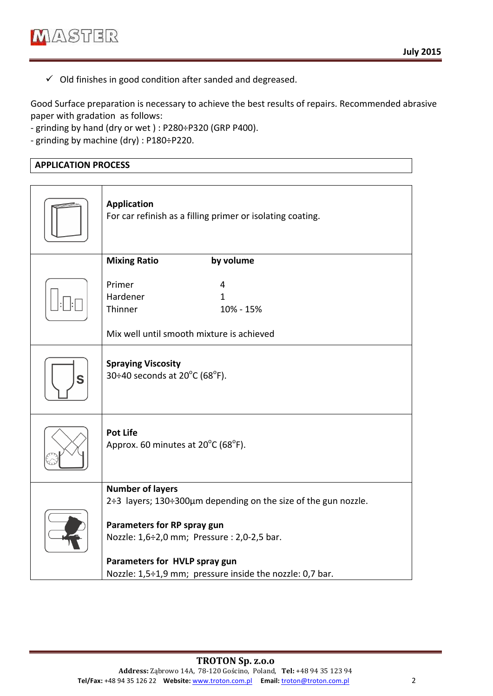$\checkmark$  Old finishes in good condition after sanded and degreased.

Good Surface preparation is necessary to achieve the best results of repairs. Recommended abrasive paper with gradation as follows:

- grinding by hand (dry or wet): P280÷P320 (GRP P400).

- grinding by machine  $\text{div}$  : P180÷P220.

### **APPLICATION PROCESS**

|   | <b>Application</b><br>For car refinish as a filling primer or isolating coating.                                                                                                                                                                                     |
|---|----------------------------------------------------------------------------------------------------------------------------------------------------------------------------------------------------------------------------------------------------------------------|
|   | <b>Mixing Ratio</b><br>by volume                                                                                                                                                                                                                                     |
|   | Primer<br>4<br>Hardener<br>1<br>Thinner<br>10% - 15%<br>Mix well until smooth mixture is achieved                                                                                                                                                                    |
| S | <b>Spraying Viscosity</b><br>30÷40 seconds at $20^{\circ}$ C (68°F).                                                                                                                                                                                                 |
|   | <b>Pot Life</b><br>Approx. 60 minutes at 20°C (68°F).                                                                                                                                                                                                                |
|   | <b>Number of layers</b><br>2÷3 layers; 130÷300µm depending on the size of the gun nozzle.<br>Parameters for RP spray gun<br>Nozzle: 1,6÷2,0 mm; Pressure : 2,0-2,5 bar.<br>Parameters for HVLP spray gun<br>Nozzle: 1,5÷1,9 mm; pressure inside the nozzle: 0,7 bar. |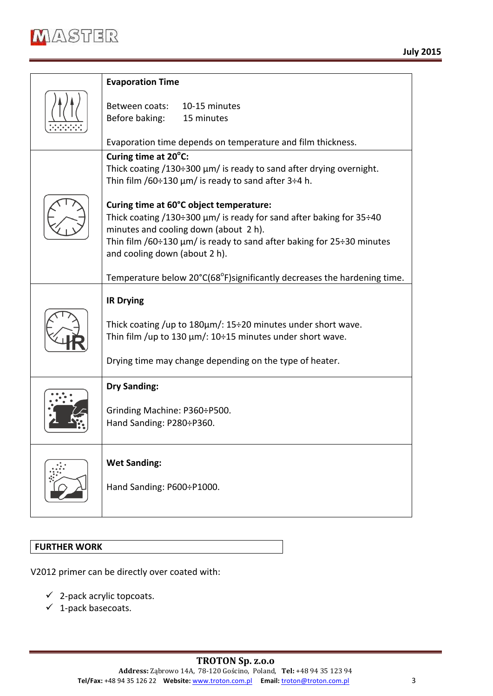

| <b>Evaporation Time</b>                                                                                                                                                                                                                                                                            |
|----------------------------------------------------------------------------------------------------------------------------------------------------------------------------------------------------------------------------------------------------------------------------------------------------|
| Between coats:<br>10-15 minutes<br>15 minutes<br>Before baking:                                                                                                                                                                                                                                    |
| Evaporation time depends on temperature and film thickness.                                                                                                                                                                                                                                        |
| Curing time at 20°C:<br>Thick coating $/130\div 300 \mu m$ is ready to sand after drying overnight.<br>Thin film /60÷130 $\mu$ m/ is ready to sand after 3÷4 h.                                                                                                                                    |
| Curing time at 60°C object temperature:<br>Thick coating $/130\div 300 \mu m/$ is ready for sand after baking for 35 $\div 40$<br>minutes and cooling down (about 2 h).<br>Thin film $/60 \div 130 \mu m/$ is ready to sand after baking for 25 $\div 30$ minutes<br>and cooling down (about 2 h). |
| Temperature below 20°C(68°F) significantly decreases the hardening time.                                                                                                                                                                                                                           |
| <b>IR Drying</b><br>Thick coating /up to $180 \mu m$ /: $15\div 20$ minutes under short wave.<br>Thin film /up to 130 $\mu$ m/: 10÷15 minutes under short wave.<br>Drying time may change depending on the type of heater.                                                                         |
| <b>Dry Sanding:</b><br>Grinding Machine: P360÷P500.<br>Hand Sanding: P280÷P360.                                                                                                                                                                                                                    |
| <b>Wet Sanding:</b><br>Hand Sanding: P600÷P1000.                                                                                                                                                                                                                                                   |

#### **FURTHER WORK**

V2012 primer can be directly over coated with:

- $\checkmark$  2-pack acrylic topcoats.
- $\checkmark$  1-pack basecoats.